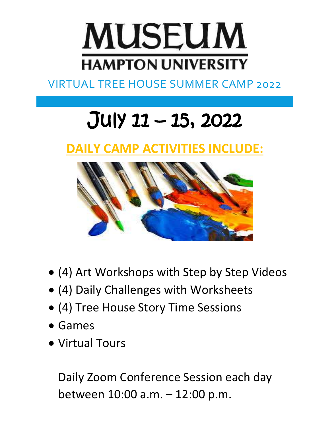

## VIRTUAL TREE HOUSE SUMMER CAMP 2022

# July 11 – 15, 2022

# **DAILY CAMP ACTIVITIES INCLUDE:**



- (4) Art Workshops with Step by Step Videos
- (4) Daily Challenges with Worksheets
- (4) Tree House Story Time Sessions
- Games
- Virtual Tours

Daily Zoom Conference Session each day between 10:00 a.m. – 12:00 p.m.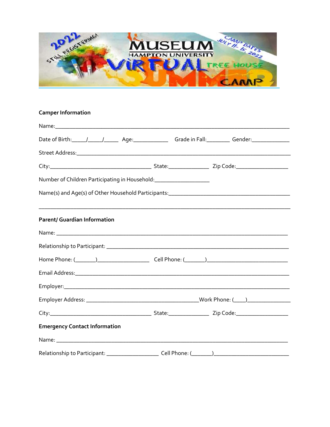

| <b>Camper Information</b>                                           |                                                                                                                                                                                                                                |                                                                                                                |  |  |
|---------------------------------------------------------------------|--------------------------------------------------------------------------------------------------------------------------------------------------------------------------------------------------------------------------------|----------------------------------------------------------------------------------------------------------------|--|--|
|                                                                     |                                                                                                                                                                                                                                |                                                                                                                |  |  |
|                                                                     |                                                                                                                                                                                                                                | Date of Birth: 11 12 12 12 12 12 12 12 13 13 14 14 15 16 17 17 18 19 12 13 14 15 16 16 17 18 17 18 17 18 17 18 |  |  |
|                                                                     |                                                                                                                                                                                                                                |                                                                                                                |  |  |
|                                                                     |                                                                                                                                                                                                                                |                                                                                                                |  |  |
| Number of Children Participating in Household: ____________________ |                                                                                                                                                                                                                                |                                                                                                                |  |  |
|                                                                     |                                                                                                                                                                                                                                |                                                                                                                |  |  |
| <b>Parent/ Guardian Information</b>                                 |                                                                                                                                                                                                                                |                                                                                                                |  |  |
|                                                                     |                                                                                                                                                                                                                                |                                                                                                                |  |  |
|                                                                     |                                                                                                                                                                                                                                |                                                                                                                |  |  |
|                                                                     | Home Phone: (\Quad \quad \quad \quad \quad \quad \quad \quad \quad \quad \quad \qquad \qquad \qquad \qquad \qquad \qquad \qquad \qquad \qquad \qquad \qquad \qquad \qquad \qquad \qquad \qquad \qquad \qquad \qquad \qquad \qq |                                                                                                                |  |  |
|                                                                     |                                                                                                                                                                                                                                |                                                                                                                |  |  |
|                                                                     |                                                                                                                                                                                                                                |                                                                                                                |  |  |
|                                                                     |                                                                                                                                                                                                                                |                                                                                                                |  |  |
|                                                                     |                                                                                                                                                                                                                                |                                                                                                                |  |  |
| <b>Emergency Contact Information</b>                                |                                                                                                                                                                                                                                |                                                                                                                |  |  |
|                                                                     |                                                                                                                                                                                                                                |                                                                                                                |  |  |
|                                                                     |                                                                                                                                                                                                                                |                                                                                                                |  |  |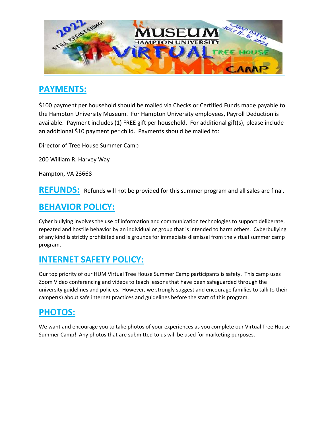

## **PAYMENTS:**

\$100 payment per household should be mailed via Checks or Certified Funds made payable to the Hampton University Museum. For Hampton University employees, Payroll Deduction is available. Payment includes (1) FREE gift per household. For additional gift(s), please include an additional \$10 payment per child. Payments should be mailed to:

Director of Tree House Summer Camp

200 William R. Harvey Way

Hampton, VA 23668

**REFUNDS:** Refunds will not be provided for this summer program and all sales are final.

## **BEHAVIOR POLICY:**

Cyber bullying involves the use of information and communication technologies to support deliberate, repeated and hostile behavior by an individual or group that is intended to harm others. Cyberbullying of any kind is strictly prohibited and is grounds for immediate dismissal from the virtual summer camp program.

#### **INTERNET SAFETY POLICY:**

Our top priority of our HUM Virtual Tree House Summer Camp participants is safety. This camp uses Zoom Video conferencing and videos to teach lessons that have been safeguarded through the university guidelines and policies. However, we strongly suggest and encourage families to talk to their camper(s) about safe internet practices and guidelines before the start of this program.

## **PHOTOS:**

We want and encourage you to take photos of your experiences as you complete our Virtual Tree House Summer Camp! Any photos that are submitted to us will be used for marketing purposes.